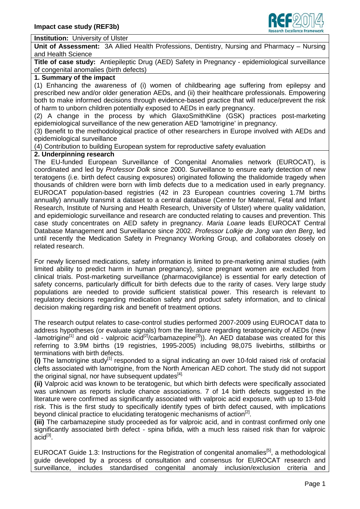

#### **Institution:** University of Ulster

**Unit of Assessment:** 3A Allied Health Professions, Dentistry, Nursing and Pharmacy – Nursing and Health Science

**Title of case study:** Antiepileptic Drug (AED) Safety in Pregnancy - epidemiological surveillance of congenital anomalies (birth defects)

### **1. Summary of the impact**

(1) Enhancing the awareness of (i) women of childbearing age suffering from epilepsy and prescribed new and/or older generation AEDs, and (ii) their healthcare professionals. Empowering both to make informed decisions through evidence-based practice that will reduce/prevent the risk of harm to unborn children potentially exposed to AEDs in early pregnancy.

(2) A change in the process by which GlaxoSmithKline (GSK) practices post-marketing epidemiological surveillance of the new generation AED 'lamotrigine' in pregnancy.

(3) Benefit to the methodological practice of other researchers in Europe involved with AEDs and epidemiological surveillance

(4) Contribution to building European system for reproductive safety evaluation

#### **2. Underpinning research**

The EU-funded European Surveillance of Congenital Anomalies network (EUROCAT), is coordinated and led by *Professor Dolk* since 2000. Surveillance to ensure early detection of new teratogens (i.e. birth defect causing exposures) originated following the thalidomide tragedy when thousands of children were born with limb defects due to a medication used in early pregnancy. EUROCAT population-based registries (42 in 23 European countries covering 1.7M births annually) annually transmit a dataset to a central database (Centre for Maternal, Fetal and Infant Research, Institute of Nursing and Health Research, University of Ulster) where quality validation, and epidemiologic surveillance and research are conducted relating to causes and prevention. This case study concentrates on AED safety in pregnancy. *Maria Loane* leads EUROCAT Central Database Management and Surveillance since 2002. *Professor Lolkje de Jong van den Berg*, led until recently the Medication Safety in Pregnancy Working Group, and collaborates closely on related research.

For newly licensed medications, safety information is limited to pre-marketing animal studies (with limited ability to predict harm in human pregnancy), since pregnant women are excluded from clinical trials. Post-marketing surveillance (pharmacovigilance) is essential for early detection of safety concerns, particularly difficult for birth defects due to the rarity of cases. Very large study populations are needed to provide sufficient statistical power. This research is relevant to regulatory decisions regarding medication safety and product safety information, and to clinical decision making regarding risk and benefit of treatment options.

The research output relates to case-control studies performed 2007-2009 using EUROCAT data to address hypotheses (or evaluate signals) from the literature regarding teratogenicity of AEDs (new -lamotrigine<sup>[1]</sup> and old - valproic acid<sup>[2]</sup>/carbamazepine<sup>[3]</sup>)). An AED database was created for this referring to 3.9M births (19 registries, 1995-2005) including 98,075 livebirths, stillbirths or terminations with birth defects.

**(i)** The lamotrigine study<sup>[1]</sup> responded to a signal indicating an over 10-fold raised risk of orofacial clefts associated with lamotrigine, from the North American AED cohort. The study did not support the original signal, nor have subsequent updates<sup>[4].</sup>

**(ii)** Valproic acid was known to be teratogenic, but which birth defects were specifically associated was unknown as reports include chance associations. 7 of 14 birth defects suggested in the literature were confirmed as significantly associated with valproic acid exposure, with up to 13-fold risk. This is the first study to specifically identify types of birth defect caused, with implications beyond clinical practice to elucidating teratogenic mechanisms of action<sup>[2]</sup>.

**(iii)** The carbamazepine study proceeded as for valproic acid, and in contrast confirmed only one significantly associated birth defect - spina bifida, with a much less raised risk than for valproic  $\overline{acid}^{[3]}$ .

EUROCAT Guide 1.3: Instructions for the Registration of congenital anomalies<sup>[5]</sup>, a methodological guide developed by a process of consultation and consensus for EUROCAT research and surveillance, includes standardised congenital anomaly inclusion/exclusion criteria and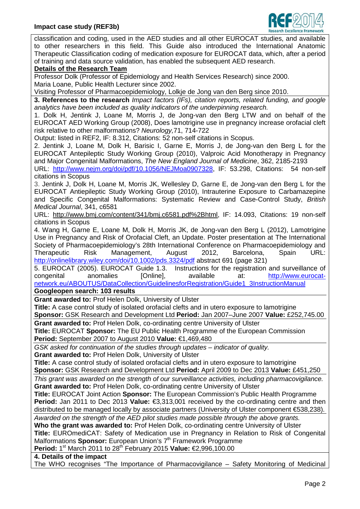

classification and coding, used in the AED studies and all other EUROCAT studies, and available to other researchers in this field. This Guide also introduced the International Anatomic Therapeutic Classification coding of medication exposure for EUROCAT data, which, after a period of training and data source validation, has enabled the subsequent AED research.

# **Details of the Research Team**

Professor Dolk (Professor of Epidemiology and Health Services Research) since 2000. Maria Loane, Public Health Lecturer since 2002.

Visiting Professor of Pharmacoepidemiology, Lolkje de Jong van den Berg since 2010.

**3. References to the research** *Impact factors (IFs), citation reports, related funding, and google analytics have been included as quality indicators of the underpinning research.*

1. Dolk H, Jentink J, Loane M, Morris J, de Jong-van den Berg LTW and on behalf of the EUROCAT AED Working Group (2008), Does lamotrigine use in pregnancy increase orofacial cleft risk relative to other malformations? *Neurology,*71, 714-722

Output: listed in REF2, IF: 8.312, Citations: 52 non-self citations in Scopus.

2. Jentink J, Loane M, Dolk H, Barisic I, Garne E, Morris J, de Jong-van den Berg L for the EUROCAT Antepileptic Study Working Group (2010), Valproic Acid Monotherapy in Pregnancy and Major Congenital Malformations, *The New England Journal of Medicine*, 362, 2185-2193

URL: [http://www.nejm.org/doi/pdf/10.1056/NEJMoa0907328,](http://www.nejm.org/doi/pdf/10.1056/NEJMoa0907328) IF: 53.298, Citations: 54 non-self citations in Scopus

3. Jentink J, Dolk H, Loane M, Morris JK, Wellesley D, Garne E, de Jong-van den Berg L for the EUROCAT Antiepileptic Study Working Group (2010), Intrauterine Exposure to Carbamazepine and Specific Congenital Malformations: Systematic Review and Case-Control Study, *British Medical Journal*, 341, c6581

URL: [http://www.bmj.com/content/341/bmj.c6581.pdf%2Bhtml,](http://www.bmj.com/content/341/bmj.c6581.pdf%2Bhtml) IF: 14.093, Citations: 19 non-self citations in Scopus

4. Wang H, Garne E, Loane M, Dolk H, Morris JK, de Jong-van den Berg L (2012), Lamotrigine Use in Pregnancy and Risk of Orofacial Cleft, an Update. Poster presentation at The International Society of Pharmacoepidemiology's 28th International Conference on Pharmacoepidemiology and Therapeutic Risk Management, August 2012, Barcelona, Spain URL: <http://onlinelibrary.wiley.com/doi/10.1002/pds.3324/pdf> abstract 691 (page 321)

5. EUROCAT (2005). EUROCAT Guide 1.3. Instructions for the registration and surveillance of congenital anomalies [Online], available at: [http://www.eurocat](http://www.eurocat-network.eu/ABOUTUS/DataCollection/GuidelinesforRegistration/Guide1_3InstructionManual)[network.eu/ABOUTUS/DataCollection/GuidelinesforRegistration/Guide1\\_3InstructionManual](http://www.eurocat-network.eu/ABOUTUS/DataCollection/GuidelinesforRegistration/Guide1_3InstructionManual)

#### **Googleopen search: 103 results**

**Grant awarded to:** Prof Helen Dolk, University of Ulster

**Title:** A case control study of isolated orofacial clefts and in utero exposure to lamotrigine

**Sponsor:** GSK Research and Development Ltd **Period:** Jan 2007–June 2007 **Value:** £252,745.00

**Grant awarded to:** Prof Helen Dolk, co-ordinating centre University of Ulster

**Title:** EUROCAT **Sponsor:** The EU Public Health Programme of the European Commission **Period:** September 2007 to August 2010 **Value:** €1,469,480

*GSK asked for continuation of the studies through updates – indicator of quality.* **Grant awarded to:** Prof Helen Dolk, University of Ulster

**Title:** A case control study of isolated orofacial clefts and in utero exposure to lamotrigine **Sponsor:** GSK Research and Development Ltd **Period:** April 2009 to Dec 2013 **Value:** £451,250

*This grant was awarded on the strength of our surveillance activities, including pharmacovigilance.* **Grant awarded to:** Prof Helen Dolk, co-ordinating centre University of Ulster

**Title:** EUROCAT Joint Action **Sponsor:** The European Commission's Public Health Programme **Period:** Jan 2011 to Dec 2013 **Value:** €3,313,001 received by the co-ordinating centre and then distributed to be managed locally by associate partners (University of Ulster component €538,238).

*Awarded on the strength of the AED pilot studies made possible through the above grants.* **Who the grant was awarded to:** Prof Helen Dolk, co-ordinating centre University of Ulster

**Title:** EUROmediCAT: Safety of Medication use in Pregnancy in Relation to Risk of Congenital Malformations **Sponsor:** European Union's 7<sup>th</sup> Framework Programme

**Period:** 1<sup>st</sup> March 2011 to 28<sup>th</sup> February 2015 **Value:** €2,996,100.00

**4. Details of the impact** 

The WHO recognises "The Importance of Pharmacovigilance – Safety Monitoring of Medicinal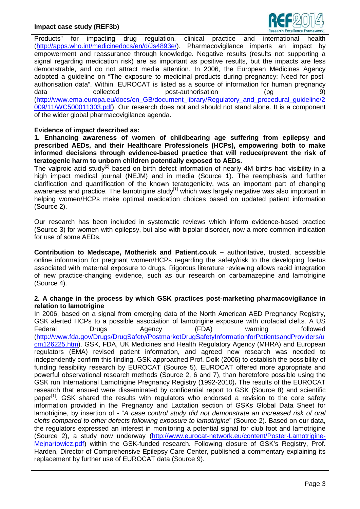## **Impact case study (REF3b)**



Products" for impacting drug regulation, clinical practice and international health [\(http://apps.who.int/medicinedocs/en/d/Js4893e/\)](http://apps.who.int/medicinedocs/en/d/Js4893e/). Pharmacovigilance imparts an impact by empowerment and reassurance through knowledge. Negative results (results not supporting a signal regarding medication risk) are as important as positive results, but the impacts are less demonstrable, and do not attract media attention. In 2006, the European Medicines Agency adopted a guideline on "The exposure to medicinal products during pregnancy: Need for postauthorisation data". Within, EUROCAT is listed as a source of information for human pregnancy data collected post-authorisation (pg 9) [\(http://www.ema.europa.eu/docs/en\\_GB/document\\_library/Regulatory\\_and\\_procedural\\_guideline/2](http://www.ema.europa.eu/docs/en_GB/document_library/Regulatory_and_procedural_guideline/2009/11/WC500011303.pdf) [009/11/WC500011303.pdf\)](http://www.ema.europa.eu/docs/en_GB/document_library/Regulatory_and_procedural_guideline/2009/11/WC500011303.pdf). Our research does not and should not stand alone. It is a component of the wider global pharmacovigilance agenda.

### **Evidence of impact described as:**

**1. Enhancing awareness of women of childbearing age suffering from epilepsy and prescribed AEDs, and their Healthcare Professionels (HCPs), empowering both to make informed decisions through evidence-based practice that will reduce/prevent the risk of teratogenic harm to unborn children potentially exposed to AEDs.**

The valproic acid study<sup>[2]</sup> based on birth defect information of nearly 4M births had visibility in a high impact medical journal (NEJM) and in media (Source 1). The reemphasis and further clarification and quantification of the known teratogenicity, was an important part of changing awareness and practice. The lamotrigine study<sup>[1]</sup> which was largely negative was also important in helping women/HCPs make optimal medication choices based on updated patient information (Source 2).

Our research has been included in systematic reviews which inform evidence-based practice (Source 3) for women with epilepsy, but also with bipolar disorder, now a more common indication for use of some AEDs.

**Contribution to Medscape, Motherisk and Patient.co.uk –** authoritative, trusted, accessible online information for pregnant women/HCPs regarding the safety/risk to the developing foetus associated with maternal exposure to drugs. Rigorous literature reviewing allows rapid integration of new practice-changing evidence, such as our research on carbamazepine and lamotrigine (Source 4).

### **2. A change in the process by which GSK practices post-marketing pharmacovigilance in relation to lamotrigine**

In 2006, based on a signal from emerging data of the North American AED Pregnancy Registry, GSK alerted HCPs to a possible association of lamotrigine exposure with orofacial clefts. A US Federal Drugs Agency (FDA) warning followed [\(http://www.fda.gov/Drugs/DrugSafety/PostmarketDrugSafetyInformationforPatientsandProviders/u](http://www.fda.gov/Drugs/DrugSafety/PostmarketDrugSafetyInformationforPatientsandProviders/ucm126225.htm) [cm126225.htm\)](http://www.fda.gov/Drugs/DrugSafety/PostmarketDrugSafetyInformationforPatientsandProviders/ucm126225.htm). GSK, FDA, UK Medicines and Health Regulatory Agency (MHRA) and European regulators (EMA) revised patient information, and agreed new research was needed to independently confirm this finding. GSK approached Prof. Dolk (2006) to establish the possibility of funding feasibility research by EUROCAT (Source 5). EUROCAT offered more appropriate and powerful observational research methods (Source 2, 6 and 7), than heretofore possible using the GSK run International Lamotrigine Pregnancy Registry (1992-2010)**.** The results of the EUROCAT research that ensued were disseminated by confidential report to GSK (Source 8) and scientific paper<sup>[1]</sup>. GSK shared the results with regulators who endorsed a revision to the core safety information provided in the Pregnancy and Lactation section of GSKs Global Data Sheet for lamotrigine, by insertion of - "*A case control study did not demonstrate an increased risk of oral clefts compared to other defects following exposure to lamotrigine*" (Source 2). Based on our data, the regulators expressed an interest in monitoring a potential signal for club foot and lamotrigine (Source 2), a study now underway [\(http://www.eurocat-network.eu/content/Poster-Lamotrigine-](http://www.eurocat-network.eu/content/Poster-Lamotrigine-Mejnartowicz.pdf)[Mejnartowicz.pdf\)](http://www.eurocat-network.eu/content/Poster-Lamotrigine-Mejnartowicz.pdf) within the GSK-funded research. Following closure of GSK's Registry, Prof. Harden, Director of Comprehensive Epilepsy Care Center, published a commentary explaining its replacement by further use of EUROCAT data (Source 9).